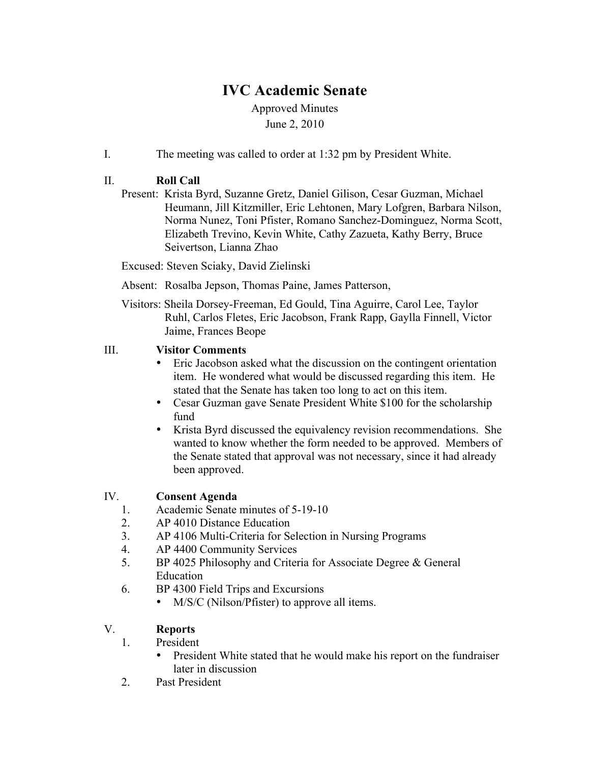# **IVC Academic Senate**

Approved Minutes June 2, 2010

I. The meeting was called to order at 1:32 pm by President White.

### II. **Roll Call**

Present: Krista Byrd, Suzanne Gretz, Daniel Gilison, Cesar Guzman, Michael Heumann, Jill Kitzmiller, Eric Lehtonen, Mary Lofgren, Barbara Nilson, Norma Nunez, Toni Pfister, Romano Sanchez-Dominguez, Norma Scott, Elizabeth Trevino, Kevin White, Cathy Zazueta, Kathy Berry, Bruce Seivertson, Lianna Zhao

Excused: Steven Sciaky, David Zielinski

- Absent: Rosalba Jepson, Thomas Paine, James Patterson,
- Visitors: Sheila Dorsey-Freeman, Ed Gould, Tina Aguirre, Carol Lee, Taylor Ruhl, Carlos Fletes, Eric Jacobson, Frank Rapp, Gaylla Finnell, Victor Jaime, Frances Beope

#### III. **Visitor Comments**

- Eric Jacobson asked what the discussion on the contingent orientation item. He wondered what would be discussed regarding this item. He stated that the Senate has taken too long to act on this item.
- Cesar Guzman gave Senate President White \$100 for the scholarship fund
- Krista Byrd discussed the equivalency revision recommendations. She wanted to know whether the form needed to be approved. Members of the Senate stated that approval was not necessary, since it had already been approved.

#### IV. **Consent Agenda**

- 1. Academic Senate minutes of 5-19-10
- 2. AP 4010 Distance Education
- 3. AP 4106 Multi-Criteria for Selection in Nursing Programs
- 4. AP 4400 Community Services
- 5. BP 4025 Philosophy and Criteria for Associate Degree & General Education
- 6. BP 4300 Field Trips and Excursions
	- M/S/C (Nilson/Pfister) to approve all items.

#### V. **Reports**

- 1. President
	- President White stated that he would make his report on the fundraiser later in discussion
- 2. Past President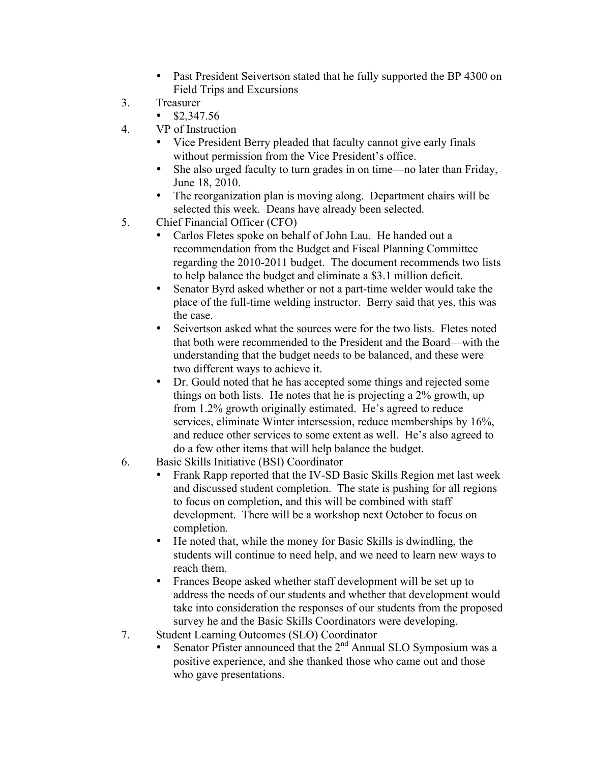- Past President Seivertson stated that he fully supported the BP 4300 on Field Trips and Excursions
- 3. Treasurer
	- $$2,347,56$
- 4. VP of Instruction
	- Vice President Berry pleaded that faculty cannot give early finals without permission from the Vice President's office.
	- She also urged faculty to turn grades in on time—no later than Friday, June 18, 2010.
	- The reorganization plan is moving along. Department chairs will be selected this week. Deans have already been selected.
- 5. Chief Financial Officer (CFO)
	- Carlos Fletes spoke on behalf of John Lau. He handed out a recommendation from the Budget and Fiscal Planning Committee regarding the 2010-2011 budget. The document recommends two lists to help balance the budget and eliminate a \$3.1 million deficit.
	- Senator Byrd asked whether or not a part-time welder would take the place of the full-time welding instructor. Berry said that yes, this was the case.
	- Seivertson asked what the sources were for the two lists. Fletes noted that both were recommended to the President and the Board—with the understanding that the budget needs to be balanced, and these were two different ways to achieve it.
	- Dr. Gould noted that he has accepted some things and rejected some things on both lists. He notes that he is projecting a 2% growth, up from 1.2% growth originally estimated. He's agreed to reduce services, eliminate Winter intersession, reduce memberships by 16%, and reduce other services to some extent as well. He's also agreed to do a few other items that will help balance the budget.
- 6. Basic Skills Initiative (BSI) Coordinator
	- Frank Rapp reported that the IV-SD Basic Skills Region met last week and discussed student completion. The state is pushing for all regions to focus on completion, and this will be combined with staff development. There will be a workshop next October to focus on completion.
	- He noted that, while the money for Basic Skills is dwindling, the students will continue to need help, and we need to learn new ways to reach them.
	- Frances Beope asked whether staff development will be set up to address the needs of our students and whether that development would take into consideration the responses of our students from the proposed survey he and the Basic Skills Coordinators were developing.
- 7. Student Learning Outcomes (SLO) Coordinator
	- Senator Pfister announced that the 2<sup>nd</sup> Annual SLO Symposium was a positive experience, and she thanked those who came out and those who gave presentations.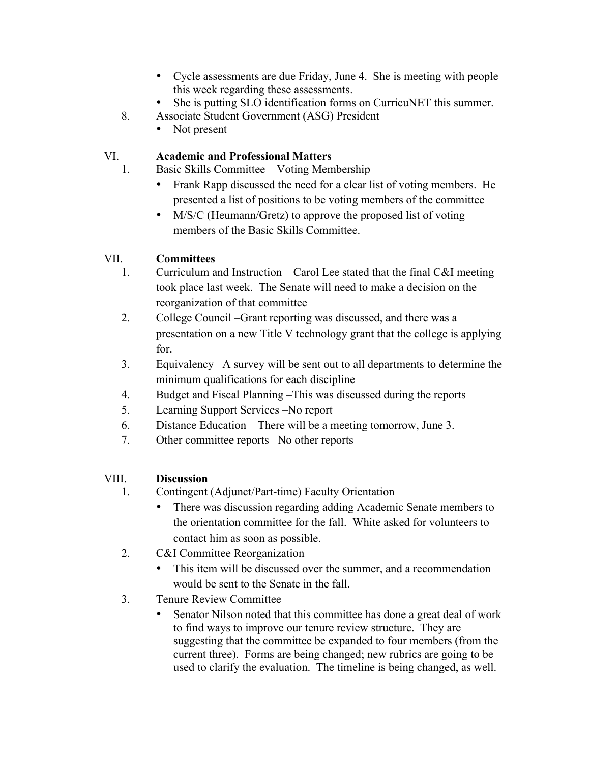- Cycle assessments are due Friday, June 4. She is meeting with people this week regarding these assessments.
- She is putting SLO identification forms on CurricuNET this summer.
- 8. Associate Student Government (ASG) President
	- Not present

## VI. **Academic and Professional Matters**

- 1. Basic Skills Committee—Voting Membership
	- Frank Rapp discussed the need for a clear list of voting members. He presented a list of positions to be voting members of the committee
	- M/S/C (Heumann/Gretz) to approve the proposed list of voting members of the Basic Skills Committee.

## VII. **Committees**

- 1. Curriculum and Instruction—Carol Lee stated that the final C&I meeting took place last week. The Senate will need to make a decision on the reorganization of that committee
- 2. College Council –Grant reporting was discussed, and there was a presentation on a new Title V technology grant that the college is applying for.
- 3. Equivalency –A survey will be sent out to all departments to determine the minimum qualifications for each discipline
- 4. Budget and Fiscal Planning –This was discussed during the reports
- 5. Learning Support Services –No report
- 6. Distance Education There will be a meeting tomorrow, June 3.
- 7. Other committee reports –No other reports

#### VIII. **Discussion**

- 1. Contingent (Adjunct/Part-time) Faculty Orientation
	- There was discussion regarding adding Academic Senate members to the orientation committee for the fall. White asked for volunteers to contact him as soon as possible.
- 2. C&I Committee Reorganization
	- This item will be discussed over the summer, and a recommendation would be sent to the Senate in the fall.
- 3. Tenure Review Committee
	- Senator Nilson noted that this committee has done a great deal of work to find ways to improve our tenure review structure. They are suggesting that the committee be expanded to four members (from the current three). Forms are being changed; new rubrics are going to be used to clarify the evaluation. The timeline is being changed, as well.